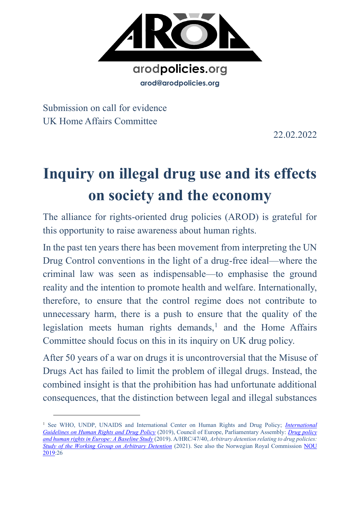

Submission on call for evidence UK Home Affairs Committee

22.02.2022

# **Inquiry on illegal drug use and its effects on society and the economy**

The alliance for rights-oriented drug policies (AROD) is grateful for this opportunity to raise awareness about human rights.

In the past ten years there has been movement from interpreting the UN Drug Control conventions in the light of a drug-free ideal—where the criminal law was seen as indispensable—to emphasise the ground reality and the intention to promote health and welfare. Internationally, therefore, to ensure that the control regime does not contribute to unnecessary harm, there is a push to ensure that the quality of the legislation meets human rights demands,<sup>1</sup> and the Home Affairs Committee should focus on this in its inquiry on UK drug policy.

After 50 years of a war on drugs it is uncontroversial that the Misuse of Drugs Act has failed to limit the problem of illegal drugs. Instead, the combined insight is that the prohibition has had unfortunate additional consequences, that the distinction between legal and illegal substances

<sup>1</sup> See WHO, UNDP, UNAIDS and International Center on Human Rights and Drug Policy; *[International](https://www.undp.org/publications/international-guidelines-human-rights-and-drug-policy)  [Guidelines on Human Rights and Drug Policy](https://www.undp.org/publications/international-guidelines-human-rights-and-drug-policy)* (2019), Council of Europe, Parliamentary Assembly: *[Drug policy](http://www.assembly.coe.int/LifeRay/JUR/Pdf/DocsAndDecs/2019/AS-JUR-2019-25-EN.pdf)  [and human rights in Europe: A Baseline Study](http://www.assembly.coe.int/LifeRay/JUR/Pdf/DocsAndDecs/2019/AS-JUR-2019-25-EN.pdf)* (2019). A/HRC/47/40, *Arbitrary detention relating to drug policies: [Study of the Working Group on Arbitrary Detention](https://www.ohchr.org/Documents/Issues/Detention/Call/A_HRC_47_40_AdvanceEditedVersion.pdf)* (2021). See also the Norwegian Royal Commission [NOU](https://www.regjeringen.no/no/dokumenter/nou-2019-26/id2683531/)  [2019:](https://www.regjeringen.no/no/dokumenter/nou-2019-26/id2683531/)26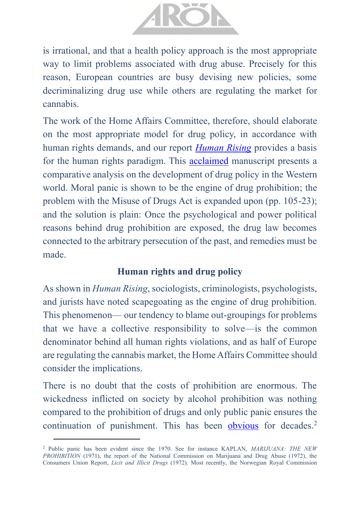

is irrational, and that a health policy approach is the most appropriate way to limit problems associated with drug abuse. Precisely for this reason, European countries are busy devising new policies, some decriminalizing drug use while others are regulating the market for cannabis.

The work of the Home Affairs Committee, therefore, should elaborate on the most appropriate model for drug policy, in accordance with human rights demands, and our report *[Human Rising](https://www.arodpolicies.org/_files/ugd/a479b9_a6fb947e46d54fc2a14823029e7a5459.pdf)* provides a basis for the human rights paradigm. This [acclaimed](https://www.selfpublishingreview.com/2021/07/review-human-rising-by-roar-mikalsen/) manuscript presents a comparative analysis on the development of drug policy in the Western world. Moral panic is shown to be the engine of drug prohibition; the problem with the Misuse of Drugs Act is expanded upon (pp. 105-23); and the solution is plain: Once the psychological and power political reasons behind drug prohibition are exposed, the drug law becomes connected to the arbitrary persecution of the past, and remedies must be made.

#### **Human rights and drug policy**

As shown in *Human Rising*, sociologists, criminologists, psychologists, and jurists have noted scapegoating as the engine of drug prohibition. This phenomenon— our tendency to blame out-groupings for problems that we have a collective responsibility to solve—is the common denominator behind all human rights violations, and as half of Europe are regulating the cannabis market, the Home Affairs Committee should consider the implications.

There is no doubt that the costs of prohibition are enormous. The wickedness inflicted on society by alcohol prohibition was nothing compared to the prohibition of drugs and only public panic ensures the continuation of punishment. This has been [obvious](https://www.reuters.com/article/uk-britain-drugs-idUKL0846772420070308) for decades.<sup>2</sup>

<sup>2</sup> Public panic has been evident since the 1970. See for instance KAPLAN, *MARIJUANA: THE NEW PROHIBITION* (1971), the report of the National Commission on Marijuana and Drug Abuse (1972), the Consumers Union Report, *Licit and Illicit Drugs* (1972). Most recently, the Norwegian Royal Commission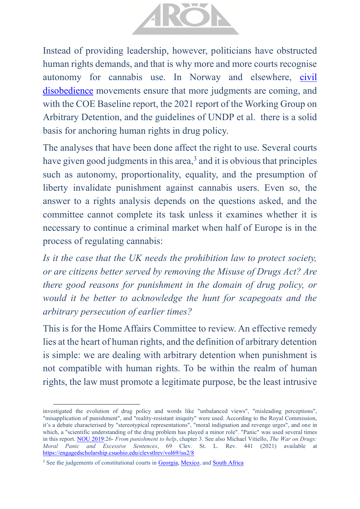

Instead of providing leadership, however, politicians have obstructed human rights demands, and that is why more and more courts recognise autonomy for cannabis use. In Norway and elsewhere, [civil](https://www.arodpolicies.org/press-release)  [disobedience](https://www.arodpolicies.org/press-release) movements ensure that more judgments are coming, and with the COE Baseline report, the 2021 report of the Working Group on Arbitrary Detention, and the guidelines of UNDP et al. there is a solid basis for anchoring human rights in drug policy.

The analyses that have been done affect the right to use. Several courts have given good judgments in this area, $3$  and it is obvious that principles such as autonomy, proportionality, equality, and the presumption of liberty invalidate punishment against cannabis users. Even so, the answer to a rights analysis depends on the questions asked, and the committee cannot complete its task unless it examines whether it is necessary to continue a criminal market when half of Europe is in the process of regulating cannabis:

*Is it the case that the UK needs the prohibition law to protect society, or are citizens better served by removing the Misuse of Drugs Act? Are there good reasons for punishment in the domain of drug policy, or would it be better to acknowledge the hunt for scapegoats and the arbitrary persecution of earlier times?*

This is for the Home Affairs Committee to review. An effective remedy lies at the heart of human rights, and the definition of arbitrary detention is simple: we are dealing with arbitrary detention when punishment is not compatible with human rights. To be within the realm of human rights, the law must promote a legitimate purpose, be the least intrusive

investigated the evolution of drug policy and words like "unbalanced views", "misleading perceptions", "misapplication of punishment", and "reality-resistant iniquity" were used. According to the Royal Commission, it's a debate characterised by "stereotypical representations", "moral indignation and revenge urges", and one in which, a "scientific understanding of the drug problem has played a minor role". "Panic" was used several times in this report. [NOU 2019:](https://www.regjeringen.no/no/dokumenter/nou-2019-26/id2683531/)26- *From punishment to help*, chapter 3. See also Michael Vitiello, *The War on Drugs: Moral Panic and Excessive Sentences*, 69 Clev. St. L. Rev. 441 (2021) available at <https://engagedscholarship.csuohio.edu/clevstlrev/vol69/iss2/8>

<sup>&</sup>lt;sup>3</sup> See the judgements of constitutional courts in [Georgia,](http://www.codices.coe.int/NXT/gateway.dll/CODICES/full/eur/geo/eng/geo-2018-3-003) [Mexico,](https://www.dof.gob.mx/nota_detalle.php?codigo=5623991&fecha=15/07/2021) an[d South Africa](http://www.saflii.org.za/za/cases/ZACC/2018/30.pdf)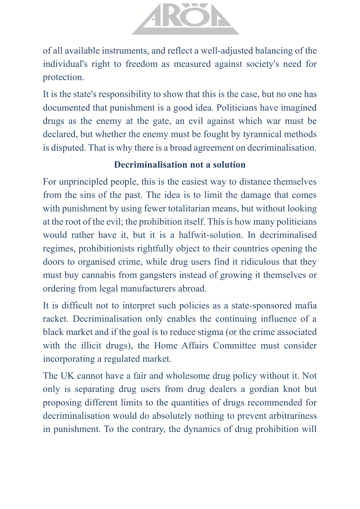

of all available instruments, and reflect a well-adjusted balancing of the individual's right to freedom as measured against society's need for protection.

It is the state's responsibility to show that this is the case, but no one has documented that punishment is a good idea. Politicians have imagined drugs as the enemy at the gate, an evil against which war must be declared, but whether the enemy must be fought by tyrannical methods is disputed. That is why there is a broad agreement on decriminalisation.

### **Decriminalisation not a solution**

For unprincipled people, this is the easiest way to distance themselves from the sins of the past. The idea is to limit the damage that comes with punishment by using fewer totalitarian means, but without looking at the root of the evil; the prohibition itself. This is how many politicians would rather have it, but it is a halfwit-solution. In decriminalised regimes, prohibitionists rightfully object to their countries opening the doors to organised crime, while drug users find it ridiculous that they must buy cannabis from gangsters instead of growing it themselves or ordering from legal manufacturers abroad.

It is difficult not to interpret such policies as a state-sponsored mafia racket. Decriminalisation only enables the continuing influence of a black market and if the goal is to reduce stigma (or the crime associated with the illicit drugs), the Home Affairs Committee must consider incorporating a regulated market.

The UK cannot have a fair and wholesome drug policy without it. Not only is separating drug users from drug dealers a gordian knot but proposing different limits to the quantities of drugs recommended for decriminalisation would do absolutely nothing to prevent arbitrariness in punishment. To the contrary, the dynamics of drug prohibition will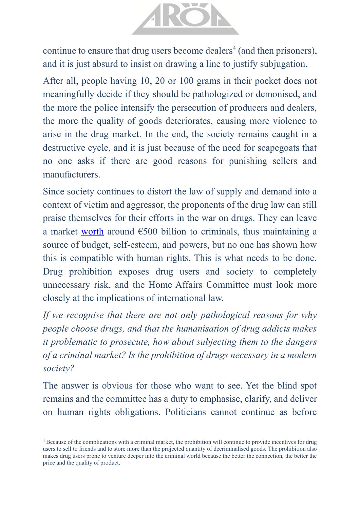

continue to ensure that drug users become dealers<sup>4</sup> (and then prisoners), and it is just absurd to insist on drawing a line to justify subjugation.

After all, people having 10, 20 or 100 grams in their pocket does not meaningfully decide if they should be pathologized or demonised, and the more the police intensify the persecution of producers and dealers, the more the quality of goods deteriorates, causing more violence to arise in the drug market. In the end, the society remains caught in a destructive cycle, and it is just because of the need for scapegoats that no one asks if there are good reasons for punishing sellers and manufacturers.

Since society continues to distort the law of supply and demand into a context of victim and aggressor, the proponents of the drug law can still praise themselves for their efforts in the war on drugs. They can leave a market [worth](https://www.talkingdrugs.org/report-global-illegal-drug-trade-valued-at-around-half-a-trillion-dollars) around  $\epsilon$ 500 billion to criminals, thus maintaining a source of budget, self-esteem, and powers, but no one has shown how this is compatible with human rights. This is what needs to be done. Drug prohibition exposes drug users and society to completely unnecessary risk, and the Home Affairs Committee must look more closely at the implications of international law.

*If we recognise that there are not only pathological reasons for why people choose drugs, and that the humanisation of drug addicts makes it problematic to prosecute, how about subjecting them to the dangers of a criminal market? Is the prohibition of drugs necessary in a modern society?* 

The answer is obvious for those who want to see. Yet the blind spot remains and the committee has a duty to emphasise, clarify, and deliver on human rights obligations. Politicians cannot continue as before

<sup>4</sup> Because of the complications with a criminal market, the prohibition will continue to provide incentives for drug users to sell to friends and to store more than the projected quantity of decriminalised goods. The prohibition also makes drug users prone to venture deeper into the criminal world because the better the connection, the better the price and the quality of product.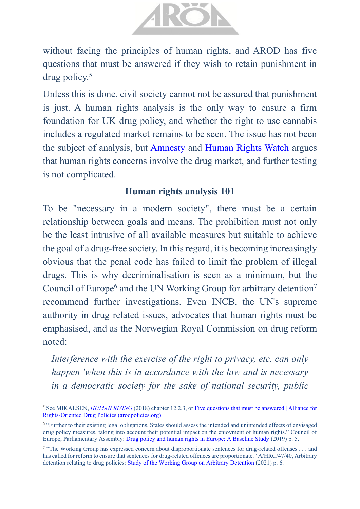

without facing the principles of human rights, and AROD has five questions that must be answered if they wish to retain punishment in drug policy.<sup>5</sup>

Unless this is done, civil society cannot not be assured that punishment is just. A human rights analysis is the only way to ensure a firm foundation for UK drug policy, and whether the right to use cannabis includes a regulated market remains to be seen. The issue has not been the subject of analysis, but [Amnesty](https://www.amnesty.org/en/wp-content/uploads/2021/05/POL3011302019ENGLISH.pdf) and [Human Rights Watch](https://www.hrw.org/tag/drugs-and-human-rights) argues that human rights concerns involve the drug market, and further testing is not complicated.

#### **Human rights analysis 101**

To be "necessary in a modern society", there must be a certain relationship between goals and means. The prohibition must not only be the least intrusive of all available measures but suitable to achieve the goal of a drug-free society. In this regard, it is becoming increasingly obvious that the penal code has failed to limit the problem of illegal drugs. This is why decriminalisation is seen as a minimum, but the Council of Europe<sup>6</sup> and the UN Working Group for arbitrary detention<sup>7</sup> recommend further investigations. Even INCB, the UN's supreme authority in drug related issues, advocates that human rights must be emphasised, and as the Norwegian Royal Commission on drug reform noted:

*Interference with the exercise of the right to privacy, etc. can only happen 'when this is in accordance with the law and is necessary in a democratic society for the sake of national security, public* 

<sup>&</sup>lt;sup>5</sup> See MIKALSEN, *[HUMAN RISING](https://8c75b10d-e0b1-4d25-99ed-609c80001c6c.filesusr.com/ugd/a479b9_a6fb947e46d54fc2a14823029e7a5459.pdf)* (2018) chapter 12.2.3, or Five questions that must be answered | Alliance for [Rights-Oriented Drug Policies \(arodpolicies.org\)](https://www.arodpolicies.org/five-questions-that-must-be-answere)

<sup>&</sup>lt;sup>6</sup> "Further to their existing legal obligations, States should assess the intended and unintended effects of envisaged drug policy measures, taking into account their potential impact on the enjoyment of human rights." Council of Europe, Parliamentary Assembly[: Drug policy and human rights in Europe: A Baseline Study](http://www.assembly.coe.int/LifeRay/JUR/Pdf/DocsAndDecs/2019/AS-JUR-2019-25-EN.pdf) (2019) p. 5.

<sup>&</sup>lt;sup>7</sup> "The Working Group has expressed concern about disproportionate sentences for drug-related offenses . . . and has called for reform to ensure that sentences for drug-related offences are proportionate." A/HRC/47/40, Arbitrary detention relating to drug policies: [Study of the Working Group on Arbitrary Detention](https://www.ohchr.org/Documents/Issues/Detention/Call/A_HRC_47_40_AdvanceEditedVersion.pdf) (2021) p. 6.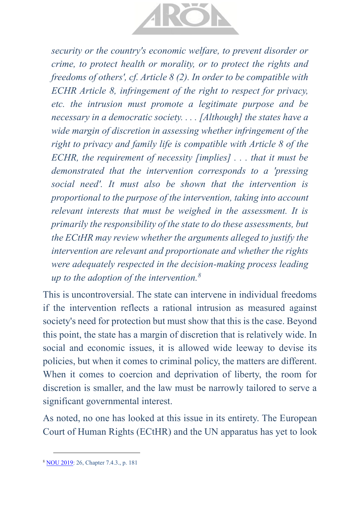

*security or the country's economic welfare, to prevent disorder or crime, to protect health or morality, or to protect the rights and freedoms of others', cf. Article 8 (2). In order to be compatible with ECHR Article 8, infringement of the right to respect for privacy, etc. the intrusion must promote a legitimate purpose and be necessary in a democratic society. . . . [Although] the states have a wide margin of discretion in assessing whether infringement of the right to privacy and family life is compatible with Article 8 of the ECHR, the requirement of necessity [implies] . . . that it must be demonstrated that the intervention corresponds to a 'pressing social need'. It must also be shown that the intervention is proportional to the purpose of the intervention, taking into account relevant interests that must be weighed in the assessment. It is primarily the responsibility of the state to do these assessments, but the ECtHR may review whether the arguments alleged to justify the intervention are relevant and proportionate and whether the rights were adequately respected in the decision-making process leading up to the adoption of the intervention.<sup>8</sup>*

This is uncontroversial. The state can intervene in individual freedoms if the intervention reflects a rational intrusion as measured against society's need for protection but must show that this is the case. Beyond this point, the state has a margin of discretion that is relatively wide. In social and economic issues, it is allowed wide leeway to devise its policies, but when it comes to criminal policy, the matters are different. When it comes to coercion and deprivation of liberty, the room for discretion is smaller, and the law must be narrowly tailored to serve a significant governmental interest.

As noted, no one has looked at this issue in its entirety. The European Court of Human Rights (ECtHR) and the UN apparatus has yet to look

<sup>8</sup> [NOU 2019:](https://www.regjeringen.no/no/dokumenter/nou-2019-26/id2683531/) 26, Chapter 7.4.3., p. 181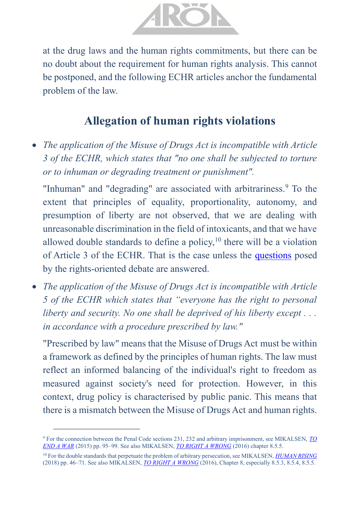

at the drug laws and the human rights commitments, but there can be no doubt about the requirement for human rights analysis. This cannot be postponed, and the following ECHR articles anchor the fundamental problem of the law.

## **Allegation of human rights violations**

• *The application of the Misuse of Drugs Act is incompatible with Article 3 of the ECHR, which states that "no one shall be subjected to torture or to inhuman or degrading treatment or punishment".* 

"Inhuman" and "degrading" are associated with arbitrariness.<sup>9</sup> To the extent that principles of equality, proportionality, autonomy, and presumption of liberty are not observed, that we are dealing with unreasonable discrimination in the field of intoxicants, and that we have allowed double standards to define a policy,  $10$  there will be a violation of Article 3 of the ECHR. That is the case unless the [questions](https://www.arodpolicies.org/five-questions-that-must-be-answere) posed by the rights-oriented debate are answered.

• *The application of the Misuse of Drugs Act is incompatible with Article 5 of the ECHR which states that "everyone has the right to personal liberty and security. No one shall be deprived of his liberty except . . . in accordance with a procedure prescribed by law."*

"Prescribed by law" means that the Misuse of Drugs Act must be within a framework as defined by the principles of human rights. The law must reflect an informed balancing of the individual's right to freedom as measured against society's need for protection. However, in this context, drug policy is characterised by public panic. This means that there is a mismatch between the Misuse of Drugs Act and human rights.

<sup>9</sup> For the connection between the Penal Code sections 231, 232 and arbitrary imprisonment, see MIKALSEN, *[TO](https://8c75b10d-e0b1-4d25-99ed-609c80001c6c.filesusr.com/ugd/a479b9_7d42e512731149f0b6b18fe7245242d2.pdf)  [END A WAR](https://8c75b10d-e0b1-4d25-99ed-609c80001c6c.filesusr.com/ugd/a479b9_7d42e512731149f0b6b18fe7245242d2.pdf)* (2015) pp. 95–99. See also MIKALSEN, *[TO RIGHT A WRONG](https://8c75b10d-e0b1-4d25-99ed-609c80001c6c.filesusr.com/ugd/a479b9_0c9d495a6a7148bab94a875c96260992.pdf)* (2016) chapter 8.5.5.

<sup>10</sup> For the double standards that perpetuate the problem of arbitrary persecution, see MIKALSEN, *[HUMAN RISING](https://www.arodpolicies.org/_files/ugd/a479b9_a6fb947e46d54fc2a14823029e7a5459.pdf)* (2018) pp. 46–71. See also MIKALSEN, *[TO RIGHT A WRONG](https://8c75b10d-e0b1-4d25-99ed-609c80001c6c.filesusr.com/ugd/a479b9_0c9d495a6a7148bab94a875c96260992.pdf)* (2016), Chapter 8, especially 8.5.3, 8.5.4, 8.5.5.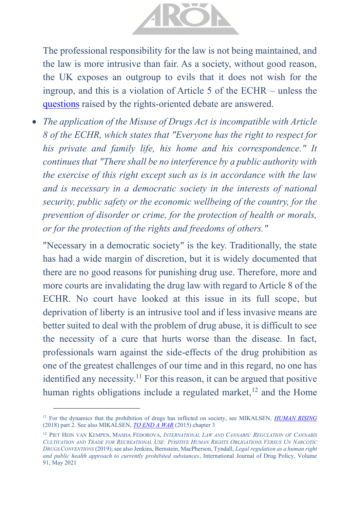

The professional responsibility for the law is not being maintained, and the law is more intrusive than fair. As a society, without good reason, the UK exposes an outgroup to evils that it does not wish for the ingroup, and this is a violation of Article 5 of the ECHR – unless the [questions](https://www.arodpolicies.org/five-questions-that-must-be-answere) raised by the rights-oriented debate are answered.

• *The application of the Misuse of Drugs Act is incompatible with Article 8 of the ECHR, which states that "Everyone has the right to respect for his private and family life, his home and his correspondence." It continues that "There shall be no interference by a public authority with the exercise of this right except such as is in accordance with the law and is necessary in a democratic society in the interests of national security, public safety or the economic wellbeing of the country, for the prevention of disorder or crime, for the protection of health or morals, or for the protection of the rights and freedoms of others."*

"Necessary in a democratic society" is the key. Traditionally, the state has had a wide margin of discretion, but it is widely documented that there are no good reasons for punishing drug use. Therefore, more and more courts are invalidating the drug law with regard to Article 8 of the ECHR. No court have looked at this issue in its full scope, but deprivation of liberty is an intrusive tool and if less invasive means are better suited to deal with the problem of drug abuse, it is difficult to see the necessity of a cure that hurts worse than the disease. In fact, professionals warn against the side-effects of the drug prohibition as one of the greatest challenges of our time and in this regard, no one has identified any necessity.<sup>11</sup> For this reason, it can be argued that positive human rights obligations include a regulated market, $12$  and the Home

<sup>&</sup>lt;sup>11</sup> For the dynamics that the prohibition of drugs has inflicted on society, see MIKALSEN, *[HUMAN RISING](https://www.arodpolicies.org/_files/ugd/a479b9_a6fb947e46d54fc2a14823029e7a5459.pdf)* (2018) part 2. See also MIKALSEN, *[TO END A WAR](https://8c75b10d-e0b1-4d25-99ed-609c80001c6c.filesusr.com/ugd/a479b9_7d42e512731149f0b6b18fe7245242d2.pdf)* (2015) chapter 3

<sup>12</sup> PIET HEIN VAN KEMPEN, MASHA FEDOROVA, *INTERNATIONAL LAW AND CANNABIS: REGULATION OF CANNABIS*  CULTIVATION AND TRADE FOR RECREATIONAL USE: POSITIVE HUMAN RIGHTS OBLIGATIONS VERSUS UN NARCOTIC *DRUGS CONVENTIONS* (2019); see also Jenkins, Bernstein, MacPherson, Tyndall, *Legal regulation as a human right and public health approach to currently prohibited substances*, International Journal of Drug Policy, Volume 91, May 2021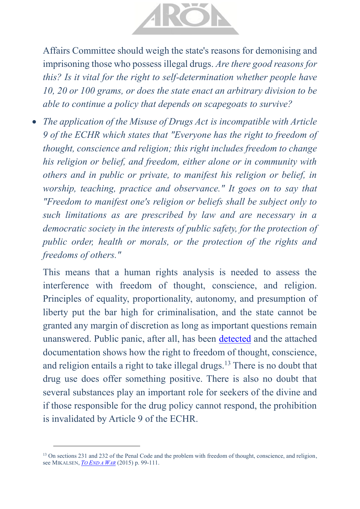

Affairs Committee should weigh the state's reasons for demonising and imprisoning those who possess illegal drugs. *Are there good reasons for this? Is it vital for the right to self-determination whether people have 10, 20 or 100 grams, or does the state enact an arbitrary division to be able to continue a policy that depends on scapegoats to survive?*

• *The application of the Misuse of Drugs Act is incompatible with Article 9 of the ECHR which states that "Everyone has the right to freedom of thought, conscience and religion; this right includes freedom to change his religion or belief, and freedom, either alone or in community with others and in public or private, to manifest his religion or belief, in worship, teaching, practice and observance." It goes on to say that "Freedom to manifest one's religion or beliefs shall be subject only to such limitations as are prescribed by law and are necessary in a democratic society in the interests of public safety, for the protection of public order, health or morals, or the protection of the rights and freedoms of others."*

This means that a human rights analysis is needed to assess the interference with freedom of thought, conscience, and religion. Principles of equality, proportionality, autonomy, and presumption of liberty put the bar high for criminalisation, and the state cannot be granted any margin of discretion as long as important questions remain unanswered. Public panic, after all, has been [detected](https://www.reuters.com/article/uk-britain-drugs-idUKL0846772420070308) and the attached documentation shows how the right to freedom of thought, conscience, and religion entails a right to take illegal drugs.<sup>13</sup> There is no doubt that drug use does offer something positive. There is also no doubt that several substances play an important role for seekers of the divine and if those responsible for the drug policy cannot respond, the prohibition is invalidated by Article 9 of the ECHR.

<sup>&</sup>lt;sup>13</sup> On sections 231 and 232 of the Penal Code and the problem with freedom of thought, conscience, and religion, see MIKALSEN, *TO E[ND A](https://8c75b10d-e0b1-4d25-99ed-609c80001c6c.filesusr.com/ugd/a479b9_7d42e512731149f0b6b18fe7245242d2.pdf) WAR* (2015) p. 99-111.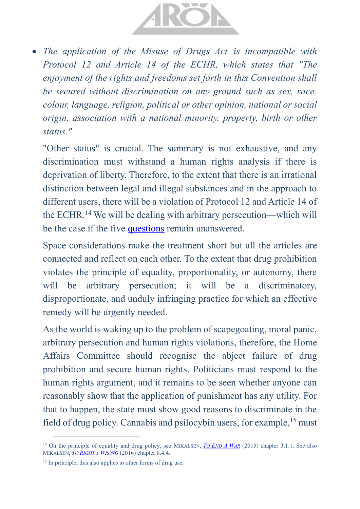

• *The application of the Misuse of Drugs Act is incompatible with Protocol 12 and Article 14 of the ECHR, which states that "The enjoyment of the rights and freedoms set forth in this Convention shall be secured without discrimination on any ground such as sex, race, colour, language, religion, political or other opinion, national or social origin, association with a national minority, property, birth or other status."*

"Other status" is crucial. The summary is not exhaustive, and any discrimination must withstand a human rights analysis if there is deprivation of liberty. Therefore, to the extent that there is an irrational distinction between legal and illegal substances and in the approach to different users, there will be a violation of Protocol 12 and Article 14 of the ECHR.<sup>14</sup> We will be dealing with arbitrary persecution—which will be the case if the five [questions](https://www.arodpolicies.org/five-questions-that-must-be-answere) remain unanswered.

Space considerations make the treatment short but all the articles are connected and reflect on each other. To the extent that drug prohibition violates the principle of equality, proportionality, or autonomy, there will be arbitrary persecution; it will be a discriminatory, disproportionate, and unduly infringing practice for which an effective remedy will be urgently needed.

As the world is waking up to the problem of scapegoating, moral panic, arbitrary persecution and human rights violations, therefore, the Home Affairs Committee should recognise the abject failure of drug prohibition and secure human rights. Politicians must respond to the human rights argument, and it remains to be seen whether anyone can reasonably show that the application of punishment has any utility. For that to happen, the state must show good reasons to discriminate in the field of drug policy. Cannabis and psilocybin users, for example,<sup>15</sup> must

<sup>&</sup>lt;sup>14</sup> On the principle of equality and drug policy, see MIKALSEN, *TO E[ND](https://8c75b10d-e0b1-4d25-99ed-609c80001c6c.filesusr.com/ugd/a479b9_7d42e512731149f0b6b18fe7245242d2.pdf) A WAR* (2015) chapter 3.1.1. See also MIKALSEN, *TO R[IGHT A](https://8c75b10d-e0b1-4d25-99ed-609c80001c6c.filesusr.com/ugd/a479b9_0c9d495a6a7148bab94a875c96260992.pdf) WRONG* (2016) chapter 8.4.4.

<sup>&</sup>lt;sup>15</sup> In principle, this also applies to other forms of drug use.